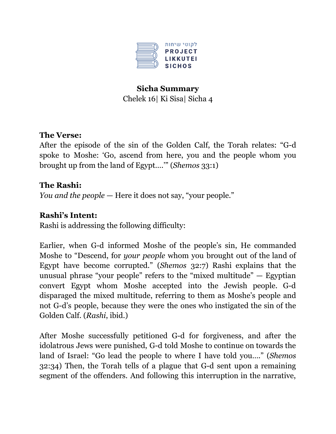

# **Sicha Summary** Chelek 16| Ki Sisa| Sicha 4

#### **The Verse:**

After the episode of the sin of the Golden Calf, the Torah relates: "G-d spoke to Moshe: 'Go, ascend from here, you and the people whom you brought up from the land of Egypt….'" (*Shemos* 33:1)

#### **The Rashi:**

*You and the people* — Here it does not say, "your people."

#### **Rashi's Intent:**

Rashi is addressing the following difficulty:

Earlier, when G-d informed Moshe of the people's sin, He commanded Moshe to "Descend, for *your people* whom you brought out of the land of Egypt have become corrupted." (*Shemos* 32:7) Rashi explains that the unusual phrase "your people" refers to the "mixed multitude"  $-$  Egyptian convert Egypt whom Moshe accepted into the Jewish people. G-d disparaged the mixed multitude, referring to them as Moshe's people and not G-d's people, because they were the ones who instigated the sin of the Golden Calf. (*Rashi*, ibid.)

After Moshe successfully petitioned G-d for forgiveness, and after the idolatrous Jews were punished, G-d told Moshe to continue on towards the land of Israel: "Go lead the people to where I have told you…." (*Shemos* 32:34) Then, the Torah tells of a plague that G-d sent upon a remaining segment of the offenders. And following this interruption in the narrative,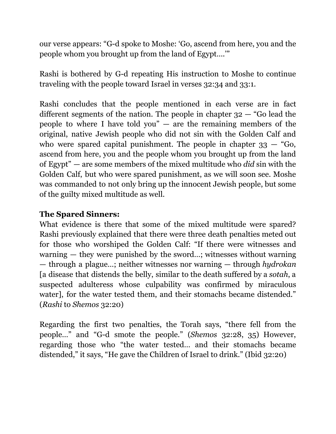our verse appears: "G-d spoke to Moshe: 'Go, ascend from here, you and the people whom you brought up from the land of Egypt….'"

Rashi is bothered by G-d repeating His instruction to Moshe to continue traveling with the people toward Israel in verses 32:34 and 33:1.

Rashi concludes that the people mentioned in each verse are in fact different segments of the nation. The people in chapter 32 — "Go lead the people to where I have told you"  $-$  are the remaining members of the original, native Jewish people who did not sin with the Golden Calf and who were spared capital punishment. The people in chapter  $33 - 4$  Go, ascend from here, you and the people whom you brought up from the land of Egypt" — are some members of the mixed multitude who *did* sin with the Golden Calf, but who were spared punishment, as we will soon see. Moshe was commanded to not only bring up the innocent Jewish people, but some of the guilty mixed multitude as well.

## **The Spared Sinners:**

What evidence is there that some of the mixed multitude were spared? Rashi previously explained that there were three death penalties meted out for those who worshiped the Golden Calf: "If there were witnesses and warning — they were punished by the sword…; witnesses without warning — through a plague…; neither witnesses nor warning — through *hydrokan* [a disease that distends the belly, similar to the death suffered by a *sotah*, a suspected adulteress whose culpability was confirmed by miraculous water], for the water tested them, and their stomachs became distended." (*Rashi* to *Shemos* 32:20)

Regarding the first two penalties, the Torah says, "there fell from the people…" and "G-d smote the people." (*Shemos* 32:28, 35) However, regarding those who "the water tested… and their stomachs became distended," it says, "He gave the Children of Israel to drink." (Ibid 32:20)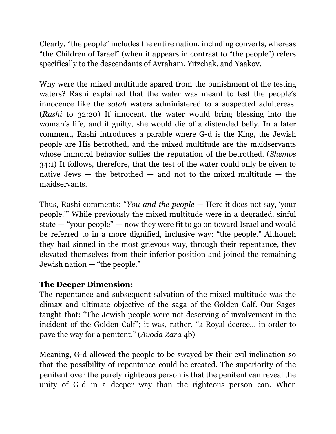Clearly, "the people" includes the entire nation, including converts, whereas "the Children of Israel" (when it appears in contrast to "the people") refers specifically to the descendants of Avraham, Yitzchak, and Yaakov.

Why were the mixed multitude spared from the punishment of the testing waters? Rashi explained that the water was meant to test the people's innocence like the *sotah* waters administered to a suspected adulteress. (*Rashi* to 32:20) If innocent, the water would bring blessing into the woman's life, and if guilty, she would die of a distended belly. In a later comment, Rashi introduces a parable where G-d is the King, the Jewish people are His betrothed, and the mixed multitude are the maidservants whose immoral behavior sullies the reputation of the betrothed. (*Shemos* 34:1) It follows, therefore, that the test of the water could only be given to native Jews  $-$  the betrothed  $-$  and not to the mixed multitude  $-$  the maidservants.

Thus, Rashi comments: "*You and the people* — Here it does not say, 'your people.'" While previously the mixed multitude were in a degraded, sinful state — "your people" — now they were fit to go on toward Israel and would be referred to in a more dignified, inclusive way: "the people." Although they had sinned in the most grievous way, through their repentance, they elevated themselves from their inferior position and joined the remaining Jewish nation — "the people."

### **The Deeper Dimension:**

The repentance and subsequent salvation of the mixed multitude was the climax and ultimate objective of the saga of the Golden Calf. Our Sages taught that: "The Jewish people were not deserving of involvement in the incident of the Golden Calf"; it was, rather, "a Royal decree… in order to pave the way for a penitent." (*Avoda Zara* 4b)

Meaning, G-d allowed the people to be swayed by their evil inclination so that the possibility of repentance could be created. The superiority of the penitent over the purely righteous person is that the penitent can reveal the unity of G-d in a deeper way than the righteous person can. When